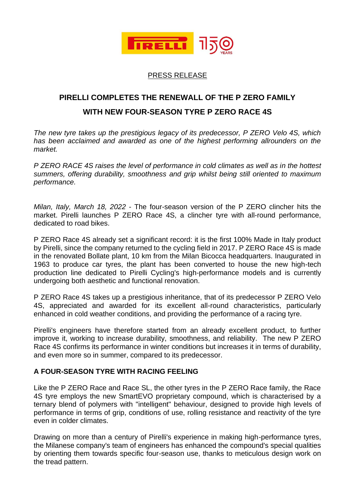

## PRESS RELEASE

## **PIRELLI COMPLETES THE RENEWALL OF THE P ZERO FAMILY**

## **WITH NEW FOUR-SEASON TYRE P ZERO RACE 4S**

*The new tyre takes up the prestigious legacy of its predecessor, P ZERO Velo 4S, which has been acclaimed and awarded as one of the highest performing allrounders on the market.* 

*P ZERO RACE 4S raises the level of performance in cold climates as well as in the hottest summers, offering durability, smoothness and grip whilst being still oriented to maximum performance.*

*Milan, Italy, March 18, 2022* - The four-season version of the P ZERO clincher hits the market. Pirelli launches P ZERO Race 4S, a clincher tyre with all-round performance, dedicated to road bikes.

P ZERO Race 4S already set a significant record: it is the first 100% Made in Italy product by Pirelli, since the company returned to the cycling field in 2017. P ZERO Race 4S is made in the renovated Bollate plant, 10 km from the Milan Bicocca headquarters. Inaugurated in 1963 to produce car tyres, the plant has been converted to house the new high-tech production line dedicated to Pirelli Cycling's high-performance models and is currently undergoing both aesthetic and functional renovation.

P ZERO Race 4S takes up a prestigious inheritance, that of its predecessor P ZERO Velo 4S, appreciated and awarded for its excellent all-round characteristics, particularly enhanced in cold weather conditions, and providing the performance of a racing tyre.

Pirelli's engineers have therefore started from an already excellent product, to further improve it, working to increase durability, smoothness, and reliability. The new P ZERO Race 4S confirms its performance in winter conditions but increases it in terms of durability, and even more so in summer, compared to its predecessor.

## **A FOUR-SEASON TYRE WITH RACING FEELING**

Like the P ZERO Race and Race SL, the other tyres in the P ZERO Race family, the Race 4S tyre employs the new SmartEVO proprietary compound, which is characterised by a ternary blend of polymers with "intelligent" behaviour, designed to provide high levels of performance in terms of grip, conditions of use, rolling resistance and reactivity of the tyre even in colder climates.

Drawing on more than a century of Pirelli's experience in making high-performance tyres, the Milanese company's team of engineers has enhanced the compound's special qualities by orienting them towards specific four-season use, thanks to meticulous design work on the tread pattern.